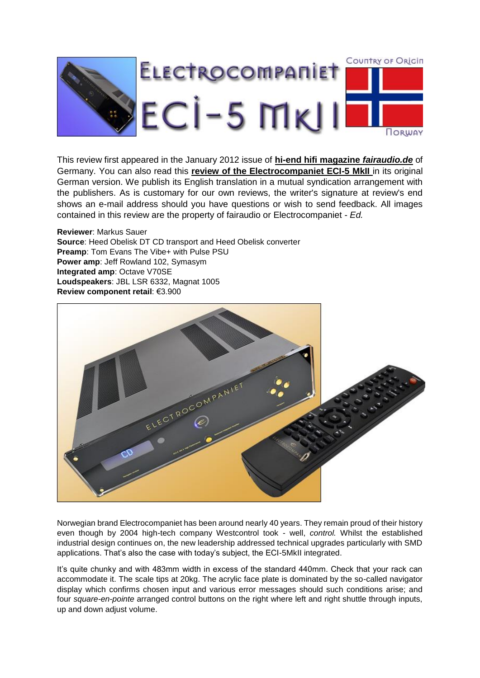

This review first appeared in the January 2012 issue of **[hi-end hifi magazine](http://www.fairaudio.de/)** *fairaudio.de* of Germany. You can also read this **[review of the Electrocompaniet ECI-5 MkII](http://www.fairaudio.de/test/vollverstaerker/2012/test-electrocompaniet-eci-5-mk-2-1.html)** in its original German version. We publish its English translation in a mutual syndication arrangement with the publishers. As is customary for our own reviews, the writer's signature at review's end shows an e-mail address should you have questions or wish to send feedback. All images contained in this review are the property of fairaudio or Electrocompaniet - *Ed.*

**Reviewer**: Markus Sauer **Source**: Heed Obelisk DT CD transport and Heed Obelisk converter **Preamp**: Tom Evans The Vibe+ with Pulse PSU **Power amp**: Jeff Rowland 102, Symasym **Integrated amp**: Octave V70SE **Loudspeakers**: JBL LSR 6332, Magnat 1005 **Review component retail**: €3.900



Norwegian brand Electrocompaniet has been around nearly 40 years. They remain proud of their history even though by 2004 high-tech company Westcontrol took - well, *control.* Whilst the established industrial design continues on, the new leadership addressed technical upgrades particularly with SMD applications. That's also the case with today's subject, the ECI-5MkII integrated.

It's quite chunky and with 483mm width in excess of the standard 440mm. Check that your rack can accommodate it. The scale tips at 20kg. The acrylic face plate is dominated by the so-called navigator display which confirms chosen input and various error messages should such conditions arise; and four *square-en-pointe* arranged control buttons on the right where left and right shuttle through inputs, up and down adjust volume.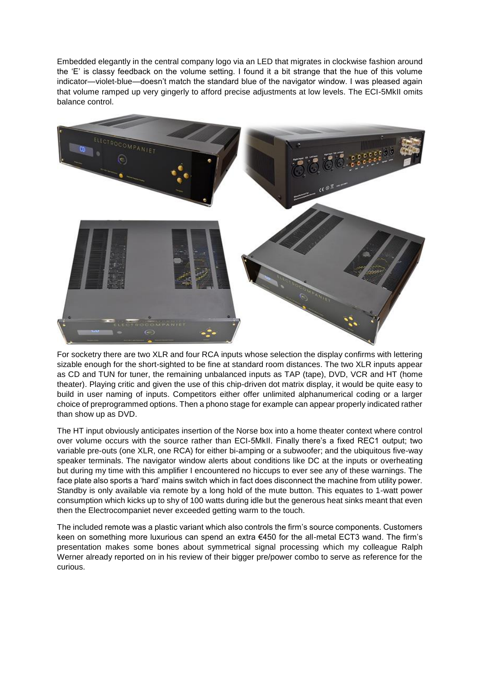Embedded elegantly in the central company logo via an LED that migrates in clockwise fashion around the 'E' is classy feedback on the volume setting. I found it a bit strange that the hue of this volume indicator—violet-blue—doesn't match the standard blue of the navigator window. I was pleased again that volume ramped up very gingerly to afford precise adjustments at low levels. The ECI-5MkII omits balance control.



For socketry there are two XLR and four RCA inputs whose selection the display confirms with lettering sizable enough for the short-sighted to be fine at standard room distances. The two XLR inputs appear as CD and TUN for tuner, the remaining unbalanced inputs as TAP (tape), DVD, VCR and HT (home theater). Playing critic and given the use of this chip-driven dot matrix display, it would be quite easy to build in user naming of inputs. Competitors either offer unlimited alphanumerical coding or a larger choice of preprogrammed options. Then a phono stage for example can appear properly indicated rather than show up as DVD.

The HT input obviously anticipates insertion of the Norse box into a home theater context where control over volume occurs with the source rather than ECI-5MkII. Finally there's a fixed REC1 output; two variable pre-outs (one XLR, one RCA) for either bi-amping or a subwoofer; and the ubiquitous five-way speaker terminals. The navigator window alerts about conditions like DC at the inputs or overheating but during my time with this amplifier I encountered no hiccups to ever see any of these warnings. The face plate also sports a 'hard' mains switch which in fact does disconnect the machine from utility power. Standby is only available via remote by a long hold of the mute button. This equates to 1-watt power consumption which kicks up to shy of 100 watts during idle but the generous heat sinks meant that even then the Electrocompaniet never exceeded getting warm to the touch.

The included remote was a plastic variant which also controls the firm's source components. Customers keen on something more luxurious can spend an extra €450 for the all-metal ECT3 wand. The firm's presentation makes some bones about symmetrical signal processing which my colleague Ralph Werner already reported on in his review of their bigger pre/power combo to serve as reference for the curious.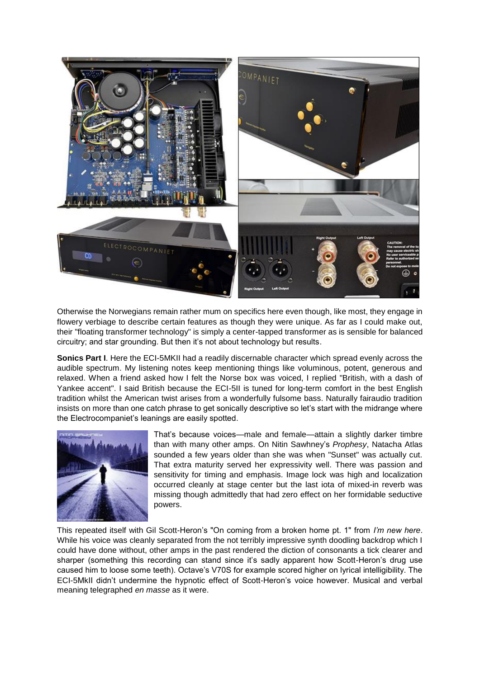

Otherwise the Norwegians remain rather mum on specifics here even though, like most, they engage in flowery verbiage to describe certain features as though they were unique. As far as I could make out, their "floating transformer technology" is simply a center-tapped transformer as is sensible for balanced circuitry; and star grounding. But then it's not about technology but results.

**Sonics Part I**. Here the ECI-5MKII had a readily discernable character which spread evenly across the audible spectrum. My listening notes keep mentioning things like voluminous, potent, generous and relaxed. When a friend asked how I felt the Norse box was voiced, I replied "British, with a dash of Yankee accent". I said British because the ECI-5II is tuned for long-term comfort in the best English tradition whilst the American twist arises from a wonderfully fulsome bass. Naturally fairaudio tradition insists on more than one catch phrase to get sonically descriptive so let's start with the midrange where the Electrocompaniet's leanings are easily spotted.



That's because voices—male and female—attain a slightly darker timbre than with many other amps. On Nitin Sawhney's *Prophesy*, Natacha Atlas sounded a few years older than she was when "Sunset" was actually cut. That extra maturity served her expressivity well. There was passion and sensitivity for timing and emphasis. Image lock was high and localization occurred cleanly at stage center but the last iota of mixed-in reverb was missing though admittedly that had zero effect on her formidable seductive powers.

This repeated itself with Gil Scott-Heron's "On coming from a broken home pt. 1" from *I'm new here*. While his voice was cleanly separated from the not terribly impressive synth doodling backdrop which I could have done without, other amps in the past rendered the diction of consonants a tick clearer and sharper (something this recording can stand since it's sadly apparent how Scott-Heron's drug use caused him to loose some teeth). Octave's V70S for example scored higher on lyrical intelligibility. The ECI-5MkII didn't undermine the hypnotic effect of Scott-Heron's voice however. Musical and verbal meaning telegraphed *en masse* as it were.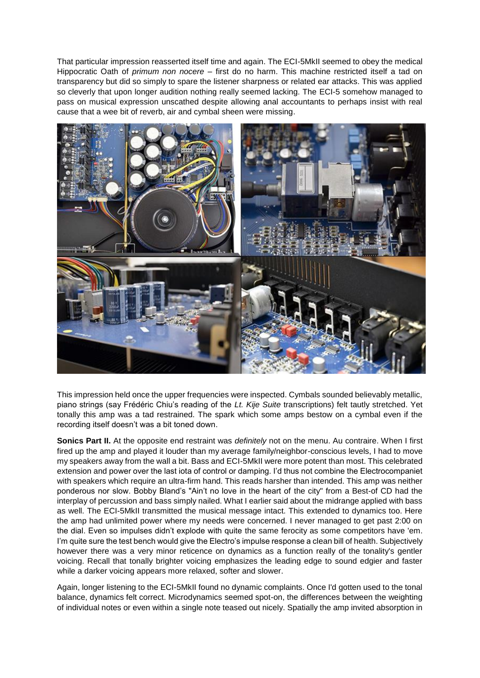That particular impression reasserted itself time and again. The ECI-5MkII seemed to obey the medical Hippocratic Oath of *primum non nocere* – first do no harm. This machine restricted itself a tad on transparency but did so simply to spare the listener sharpness or related ear attacks. This was applied so cleverly that upon longer audition nothing really seemed lacking. The ECI-5 somehow managed to pass on musical expression unscathed despite allowing anal accountants to perhaps insist with real cause that a wee bit of reverb, air and cymbal sheen were missing.



This impression held once the upper frequencies were inspected. Cymbals sounded believably metallic, piano strings (say Frédéric Chiu's reading of the *Lt. Kije Suite* transcriptions) felt tautly stretched. Yet tonally this amp was a tad restrained. The spark which some amps bestow on a cymbal even if the recording itself doesn't was a bit toned down.

**Sonics Part II.** At the opposite end restraint was *definitely* not on the menu. Au contraire. When I first fired up the amp and played it louder than my average family/neighbor-conscious levels, I had to move my speakers away from the wall a bit. Bass and ECI-5MkII were more potent than most. This celebrated extension and power over the last iota of control or damping. I'd thus not combine the Electrocompaniet with speakers which require an ultra-firm hand. This reads harsher than intended. This amp was neither ponderous nor slow. Bobby Bland's "Ain't no love in the heart of the city" from a Best-of CD had the interplay of percussion and bass simply nailed. What I earlier said about the midrange applied with bass as well. The ECI-5MkII transmitted the musical message intact. This extended to dynamics too. Here the amp had unlimited power where my needs were concerned. I never managed to get past 2:00 on the dial. Even so impulses didn't explode with quite the same ferocity as some competitors have 'em. I'm quite sure the test bench would give the Electro's impulse response a clean bill of health. Subjectively however there was a very minor reticence on dynamics as a function really of the tonality's gentler voicing. Recall that tonally brighter voicing emphasizes the leading edge to sound edgier and faster while a darker voicing appears more relaxed, softer and slower.

Again, longer listening to the ECI-5MkII found no dynamic complaints. Once I'd gotten used to the tonal balance, dynamics felt correct. Microdynamics seemed spot-on, the differences between the weighting of individual notes or even within a single note teased out nicely. Spatially the amp invited absorption in